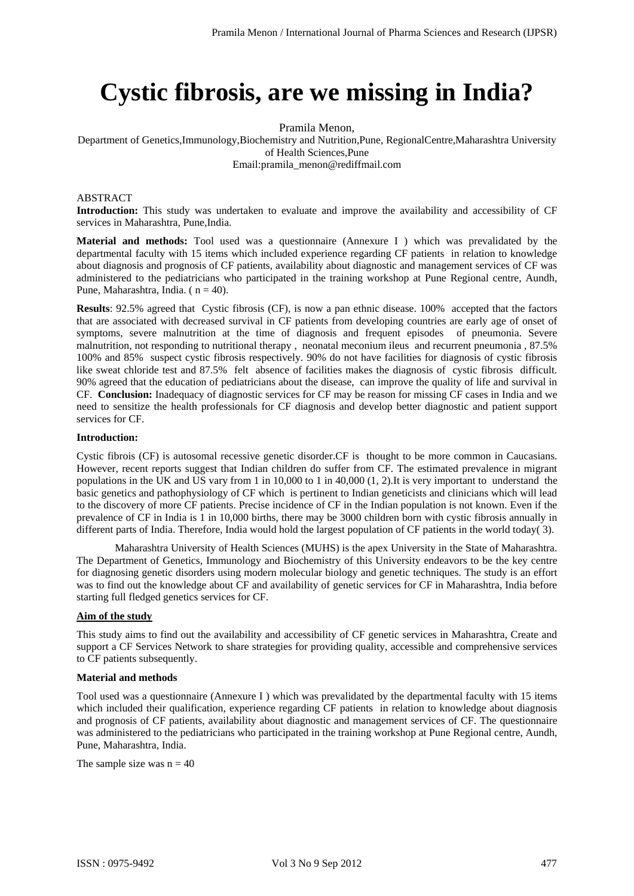# **Cystic fibrosis, are we missing in India?**

Pramila Menon,

Department of Genetics,Immunology,Biochemistry and Nutrition,Pune, RegionalCentre,Maharashtra University of Health Sciences,Pune

Email:pramila\_menon@rediffmail.com

#### ABSTRACT

**Introduction:** This study was undertaken to evaluate and improve the availability and accessibility of CF services in Maharashtra, Pune,India.

**Material and methods:** Tool used was a questionnaire (Annexure I ) which was prevalidated by the departmental faculty with 15 items which included experience regarding CF patients in relation to knowledge about diagnosis and prognosis of CF patients, availability about diagnostic and management services of CF was administered to the pediatricians who participated in the training workshop at Pune Regional centre, Aundh, Pune, Maharashtra, India. ( $n = 40$ ).

**Results**: 92.5% agreed that Cystic fibrosis (CF), is now a pan ethnic disease. 100% accepted that the factors that are associated with decreased survival in CF patients from developing countries are early age of onset of symptoms, severe malnutrition at the time of diagnosis and frequent episodes of pneumonia. Severe malnutrition, not responding to nutritional therapy , neonatal meconium ileus and recurrent pneumonia , 87.5% 100% and 85% suspect cystic fibrosis respectively. 90% do not have facilities for diagnosis of cystic fibrosis like sweat chloride test and 87.5% felt absence of facilities makes the diagnosis of cystic fibrosis difficult. 90% agreed that the education of pediatricians about the disease, can improve the quality of life and survival in CF. **Conclusion:** Inadequacy of diagnostic services for CF may be reason for missing CF cases in India and we need to sensitize the health professionals for CF diagnosis and develop better diagnostic and patient support services for CF.

#### **Introduction:**

Cystic fibrois (CF) is autosomal recessive genetic disorder.CF is thought to be more common in Caucasians. However, recent reports suggest that Indian children do suffer from CF. The estimated prevalence in migrant populations in the UK and US vary from 1 in 10,000 to 1 in 40,000 (1, 2).It is very important to understand the basic genetics and pathophysiology of CF which is pertinent to Indian geneticists and clinicians which will lead to the discovery of more CF patients. Precise incidence of CF in the Indian population is not known. Even if the prevalence of CF in India is 1 in 10,000 births, there may be 3000 children born with cystic fibrosis annually in different parts of India. Therefore, India would hold the largest population of CF patients in the world today( 3).

Maharashtra University of Health Sciences (MUHS) is the apex University in the State of Maharashtra. The Department of Genetics, Immunology and Biochemistry of this University endeavors to be the key centre for diagnosing genetic disorders using modern molecular biology and genetic techniques. The study is an effort was to find out the knowledge about CF and availability of genetic services for CF in Maharashtra, India before starting full fledged genetics services for CF.

## **Aim of the study**

This study aims to find out the availability and accessibility of CF genetic services in Maharashtra, Create and support a CF Services Network to share strategies for providing quality, accessible and comprehensive services to CF patients subsequently.

#### **Material and methods**

Tool used was a questionnaire (Annexure I ) which was prevalidated by the departmental faculty with 15 items which included their qualification, experience regarding CF patients in relation to knowledge about diagnosis and prognosis of CF patients, availability about diagnostic and management services of CF. The questionnaire was administered to the pediatricians who participated in the training workshop at Pune Regional centre, Aundh, Pune, Maharashtra, India.

The sample size was  $n = 40$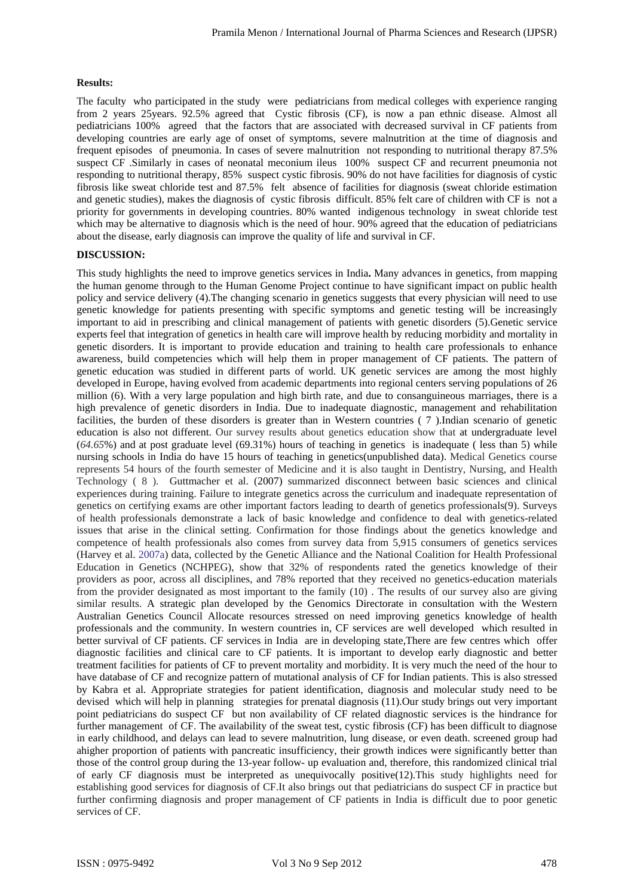## **Results:**

The faculty who participated in the study were pediatricians from medical colleges with experience ranging from 2 years 25years. 92.5% agreed that Cystic fibrosis (CF), is now a pan ethnic disease. Almost all pediatricians 100% agreed that the factors that are associated with decreased survival in CF patients from developing countries are early age of onset of symptoms, severe malnutrition at the time of diagnosis and frequent episodes of pneumonia. In cases of severe malnutrition not responding to nutritional therapy 87.5% suspect CF .Similarly in cases of neonatal meconium ileus 100% suspect CF and recurrent pneumonia not responding to nutritional therapy, 85% suspect cystic fibrosis. 90% do not have facilities for diagnosis of cystic fibrosis like sweat chloride test and 87.5% felt absence of facilities for diagnosis (sweat chloride estimation and genetic studies), makes the diagnosis of cystic fibrosis difficult. 85% felt care of children with CF is not a priority for governments in developing countries. 80% wanted indigenous technology in sweat chloride test which may be alternative to diagnosis which is the need of hour. 90% agreed that the education of pediatricians about the disease, early diagnosis can improve the quality of life and survival in CF.

## **DISCUSSION:**

This study highlights the need to improve genetics services in India**.** Many advances in genetics, from mapping the human genome through to the Human Genome Project continue to have significant impact on public health policy and service delivery (4).The changing scenario in genetics suggests that every physician will need to use genetic knowledge for patients presenting with specific symptoms and genetic testing will be increasingly important to aid in prescribing and clinical management of patients with genetic disorders (5).Genetic service experts feel that integration of genetics in health care will improve health by reducing morbidity and mortality in genetic disorders. It is important to provide education and training to health care professionals to enhance awareness, build competencies which will help them in proper management of CF patients. The pattern of genetic education was studied in different parts of world. UK genetic services are among the most highly developed in Europe, having evolved from academic departments into regional centers serving populations of 26 million (6). With a very large population and high birth rate, and due to consanguineous marriages, there is a high prevalence of genetic disorders in India. Due to inadequate diagnostic, management and rehabilitation facilities, the burden of these disorders is greater than in Western countries ( 7 ).Indian scenario of genetic education is also not different. Our survey results about genetics education show that at undergraduate level (*64.65*%) and at post graduate level (69.31%) hours of teaching in genetics is inadequate ( less than 5) while nursing schools in India do have 15 hours of teaching in genetics(unpublished data). Medical Genetics course represents 54 hours of the fourth semester of Medicine and it is also taught in Dentistry, Nursing, and Health Technology ( 8 )*.* Guttmacher et al. (2007) summarized disconnect between basic sciences and clinical experiences during training. Failure to integrate genetics across the curriculum and inadequate representation of genetics on certifying exams are other important factors leading to dearth of genetics professionals(9). Surveys of health professionals demonstrate a lack of basic knowledge and confidence to deal with genetics-related issues that arise in the clinical setting. Confirmation for those findings about the genetics knowledge and competence of health professionals also comes from survey data from 5,915 consumers of genetics services (Harvey et al. 2007a) data, collected by the Genetic Alliance and the National Coalition for Health Professional Education in Genetics (NCHPEG), show that 32% of respondents rated the genetics knowledge of their providers as poor, across all disciplines, and 78% reported that they received no genetics-education materials from the provider designated as most important to the family (10) . The results of our survey also are giving similar results. A strategic plan developed by the Genomics Directorate in consultation with the Western Australian Genetics Council Allocate resources stressed on need improving genetics knowledge of health professionals and the community. In western countries in, CF services are well developed which resulted in better survival of CF patients. CF services in India are in developing state,There are few centres which offer diagnostic facilities and clinical care to CF patients. It is important to develop early diagnostic and better treatment facilities for patients of CF to prevent mortality and morbidity. It is very much the need of the hour to have database of CF and recognize pattern of mutational analysis of CF for Indian patients. This is also stressed by Kabra et al. Appropriate strategies for patient identification, diagnosis and molecular study need to be devised which will help in planning strategies for prenatal diagnosis (11).Our study brings out very important point pediatricians do suspect CF but non availability of CF related diagnostic services is the hindrance for further management of CF. The availability of the sweat test, cystic fibrosis (CF) has been difficult to diagnose in early childhood, and delays can lead to severe malnutrition, lung disease, or even death. screened group had ahigher proportion of patients with pancreatic insufficiency, their growth indices were significantly better than those of the control group during the 13-year follow- up evaluation and, therefore, this randomized clinical trial of early CF diagnosis must be interpreted as unequivocally positive(12).This study highlights need for establishing good services for diagnosis of CF.It also brings out that pediatricians do suspect CF in practice but further confirming diagnosis and proper management of CF patients in India is difficult due to poor genetic services of CF.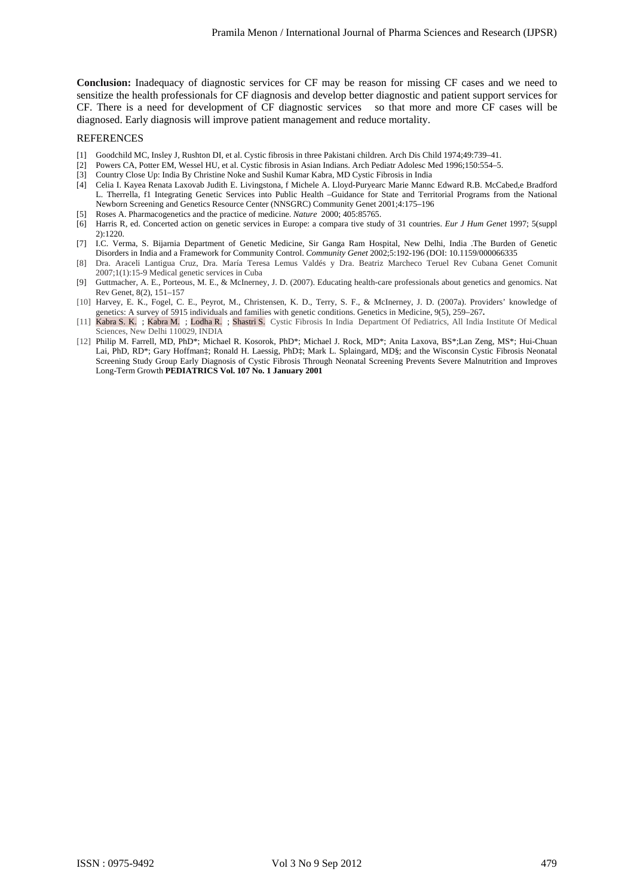**Conclusion:** Inadequacy of diagnostic services for CF may be reason for missing CF cases and we need to sensitize the health professionals for CF diagnosis and develop better diagnostic and patient support services for CF. There is a need for development of CF diagnostic services so that more and more CF cases will be diagnosed. Early diagnosis will improve patient management and reduce mortality.

#### REFERENCES

- [1] Goodchild MC, Insley J, Rushton DI, et al. Cystic fibrosis in three Pakistani children. Arch Dis Child 1974;49:739–41.
- [2] Powers CA, Potter EM, Wessel HU, et al. Cystic fibrosis in Asian Indians. Arch Pediatr Adolesc Med 1996;150:554–5.
- [3] Country Close Up: India By Christine Noke and Sushil Kumar Kabra, MD Cystic Fibrosis in India
- [4] Celia I. Kayea Renata Laxovab Judith E. Livingstona, f Michele A. Lloyd-Puryearc Marie Mannc Edward R.B. McCabed,e Bradford L. Therrella, f1 Integrating Genetic Services into Public Health –Guidance for State and Territorial Programs from the National Newborn Screening and Genetics Resource Center (NNSGRC) Community Genet 2001;4:175–196
- [5] Roses A. Pharmacogenetics and the practice of medicine. *Nature* 2000; 405:85765.
- [6] Harris R, ed. Concerted action on genetic services in Europe: a compara tive study of 31 countries. *Eur J Hum Genet* 1997; 5(suppl 2):1220.
- [7] I.C. Verma, S. Bijarnia Department of Genetic Medicine, Sir Ganga Ram Hospital, New Delhi, India .The Burden of Genetic Disorders in India and a Framework for Community Control. *Community Genet* 2002;5:192-196 (DOI: 10.1159/000066335
- [8] Dra. Araceli Lantigua Cruz, Dra. María Teresa Lemus Valdés y Dra. Beatriz Marcheco Teruel Rev Cubana Genet Comunit 2007;1(1):15-9 Medical genetic services in Cuba
- [9] Guttmacher, A. E., Porteous, M. E., & McInerney, J. D. (2007). Educating health-care professionals about genetics and genomics. Nat Rev Genet, 8(2), 151–157
- [10] Harvey, E. K., Fogel, C. E., Peyrot, M., Christensen, K. D., Terry, S. F., & McInerney, J. D. (2007a). Providers' knowledge of genetics: A survey of 5915 individuals and families with genetic conditions. Genetics in Medicine, 9(5), 259–267**.**
- [11] Kabra S. K. ; Kabra M. ; Lodha R. ; Shastri S. Cystic Fibrosis In India Department Of Pediatrics, All India Institute Of Medical Sciences, New Delhi 110029, INDIA
- [12] Philip M. Farrell, MD, PhD\*; Michael R. Kosorok, PhD\*; Michael J. Rock, MD\*; Anita Laxova, BS\*;Lan Zeng, MS\*; Hui-Chuan Lai, PhD, RD<sup>\*</sup>; Gary Hoffman‡; Ronald H. Laessig, PhD‡; Mark L. Splaingard, MD§; and the Wisconsin Cystic Fibrosis Neonatal Screening Study Group Early Diagnosis of Cystic Fibrosis Through Neonatal Screening Prevents Severe Malnutrition and Improves Long-Term Growth **PEDIATRICS Vol. 107 No. 1 January 2001**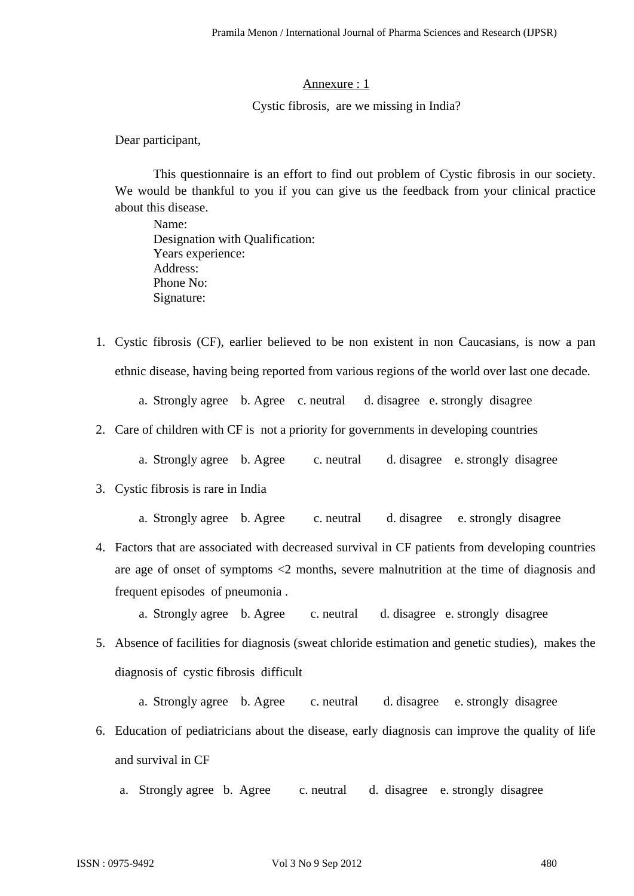## Annexure : 1

# Cystic fibrosis, are we missing in India?

Dear participant,

This questionnaire is an effort to find out problem of Cystic fibrosis in our society. We would be thankful to you if you can give us the feedback from your clinical practice about this disease.

Name: Designation with Qualification: Years experience: Address: Phone No: Signature:

1. Cystic fibrosis (CF), earlier believed to be non existent in non Caucasians, is now a pan ethnic disease, having being reported from various regions of the world over last one decade.

a. Strongly agree b. Agree c. neutral d. disagree e. strongly disagree

- 2. Care of children with CF is not a priority for governments in developing countries
	- a. Strongly agree b. Agree c. neutral d. disagree e. strongly disagree
- 3. Cystic fibrosis is rare in India
	- a. Strongly agree b. Agree c. neutral d. disagree e. strongly disagree
- 4. Factors that are associated with decreased survival in CF patients from developing countries are age of onset of symptoms <2 months, severe malnutrition at the time of diagnosis and frequent episodes of pneumonia .
	- a. Strongly agree b. Agree c. neutral d. disagree e. strongly disagree
- 5. Absence of facilities for diagnosis (sweat chloride estimation and genetic studies), makes the diagnosis of cystic fibrosis difficult
	- a. Strongly agree b. Agree c. neutral d. disagree e. strongly disagree
- 6. Education of pediatricians about the disease, early diagnosis can improve the quality of life and survival in CF
	- a. Strongly agree b. Agree c. neutral d. disagree e. strongly disagree